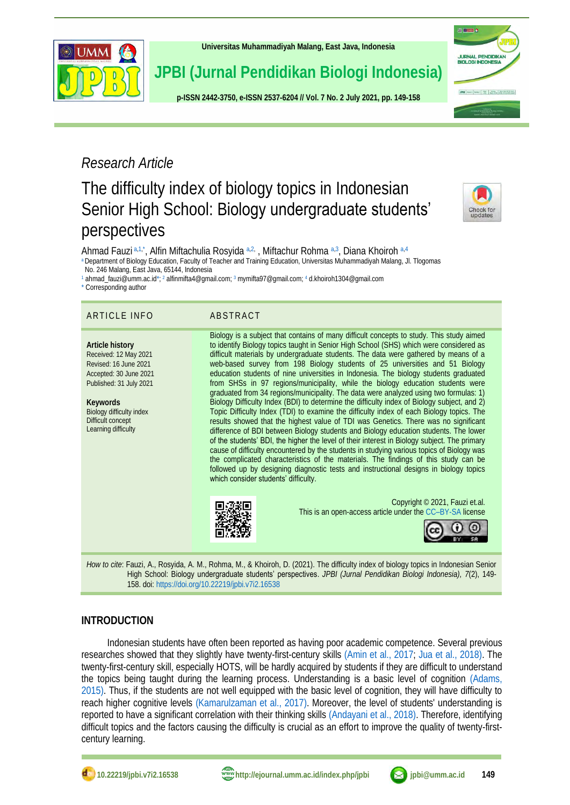

**[Universitas Muhammadiyah Malang,](http://ejournal.umm.ac.id/) East Java, Indonesia**

**JPBI (Jurnal Pendidikan Biologi Indonesia)**

**p-ISS[N 2442-3750,](http://u.lipi.go.id/1422867894) e-ISS[N 2537-6204](http://u.lipi.go.id/1460300524) // Vol. 7 No. 2 July 2021, pp. 149-158**



# *Research Article*

# The difficulty index of biology topics in Indonesian Senior High School: Biology undergraduate students' perspectives

<span id="page-0-10"></span><span id="page-0-9"></span>

<span id="page-0-11"></span><span id="page-0-7"></span><span id="page-0-6"></span>Ahmad Fauzi [a,](#page-0-0)[1,](#page-0-1)[\\*](#page-0-2), Alfin Miftachulia Rosyida a,[2,](#page-0-3) , Miftachur Rohma a,[3](#page-0-4), Diana Khoiroh a,[4](#page-0-5) [a](#page-0-6) Department of Biology Education, Faculty of Teacher and Training Education, Universitas Muhammadiyah Malang, Jl. Tlogomas

<span id="page-0-0"></span> No. 246 Malang, East Java, 65144, Indonesia [1](#page-0-7) ahmad\_fauzi@umm.ac.i[d\\*;](#page-0-2) [2](#page-0-8) alfinmifta4@gmail.com[;](#page-0-9) <sup>3</sup> [mymifta97@gmail.com;](mailto:mymifta97@gmail.com)<sup>4</sup> d.khoiroh1304@gmail.com

<span id="page-0-2"></span><span id="page-0-1"></span>[\\*](#page-0-11) Corresponding author

## ARTICLE INFO ABSTRACT

**Article history** Received: 12 May 2021 Revised: 16 June 2021 Accepted: 30 June 2021 Published: 31 July 2021

**Keywords** Biology difficulty index Difficult concept Learning difficulty

<span id="page-0-8"></span><span id="page-0-5"></span><span id="page-0-4"></span><span id="page-0-3"></span>Biology is a subject that contains of many difficult concepts to study. This study aimed

to identify Biology topics taught in Senior High School (SHS) which were considered as difficult materials by undergraduate students. The data were gathered by means of a web-based survey from 198 Biology students of 25 universities and 51 Biology education students of nine universities in Indonesia. The biology students graduated from SHSs in 97 regions/municipality, while the biology education students were graduated from 34 regions/municipality. The data were analyzed using two formulas: 1) Biology Difficulty Index (BDI) to determine the difficulty index of Biology subject, and 2) Topic Difficulty Index (TDI) to examine the difficulty index of each Biology topics. The results showed that the highest value of TDI was Genetics. There was no significant difference of BDI between Biology students and Biology education students. The lower of the students' BDI, the higher the level of their interest in Biology subject. The primary cause of difficulty encountered by the students in studying various topics of Biology was the complicated characteristics of the materials. The findings of this study can be followed up by designing diagnostic tests and instructional designs in biology topics which consider students' difficulty.



Copyright © 2021, Fauzi et.al. This is an open-access article under the CC–[BY-SA](http://creativecommons.org/licenses/by-sa/4.0/) license



*How to cite*: Fauzi, A., Rosyida, A. M., Rohma, M., & Khoiroh, D. (2021). The difficulty index of biology topics in Indonesian Senior High School: Biology undergraduate students' perspectives. *JPBI (Jurnal Pendidikan Biologi Indonesia), 7*(2), 149- 158. doi: <https://doi.org/10.22219/jpbi.v7i2.16538>

# **INTRODUCTION**

Indonesian students have often been reported as having poor academic competence. Several previous researches showed that they slightly have twenty-first-century skills [\(Amin et al., 2017;](#page-7-0) [Jua et al., 2018\).](#page-8-0) The twenty-first-century skill, especially HOTS, will be hardly acquired by students if they are difficult to understand the topics being taught during the learning process. Understanding is a basic level of cognition [\(Adams,](#page-7-1)  2015). Thus, if the students are not well equipped with the basic level of cognition, they will have difficulty to reach higher cognitive levels [\(Kamarulzaman et al., 2017\).](#page-8-1) Moreover, the level of students' understanding is reported to have a significant correlation with their thinking skills [\(Andayani et al., 2018\).](#page-7-2) Therefore, identifying difficult topics and the factors causing the difficulty is crucial as an effort to improve the quality of twenty-firstcentury learning.



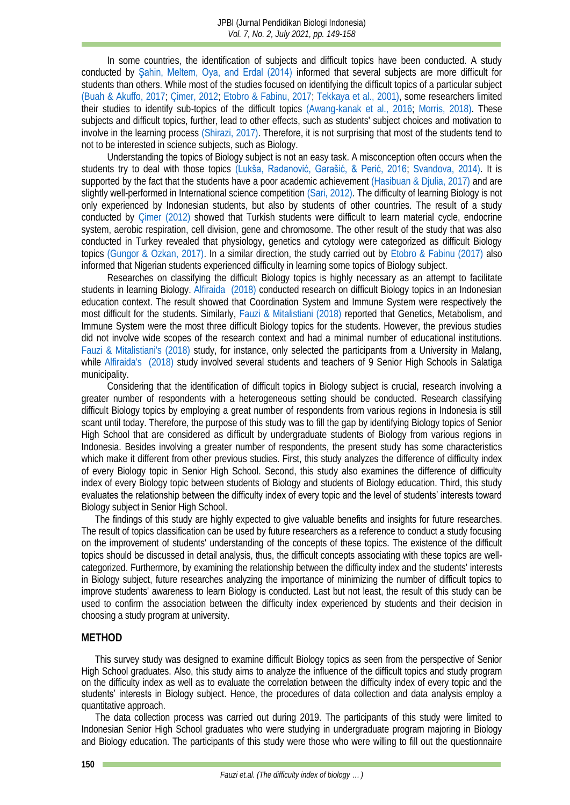In some countries, the identification of subjects and difficult topics have been conducted. A study conducted by [Şahin, Meltem, Oya, and Erdal \(2014\)](#page-9-0) informed that several subjects are more difficult for students than others. While most of the studies focused on identifying the difficult topics of a particular subject [\(Buah & Akuffo, 2017;](#page-7-3) [Çimer, 2012;](#page-7-4) [Etobro & Fabinu, 2017;](#page-7-5) [Tekkaya et al., 2001\),](#page-9-1) some researchers limited their studies to identify sub-topics of the difficult topics [\(Awang-kanak et al., 2016;](#page-7-6) [Morris, 2018\).](#page-8-2) These subjects and difficult topics, further, lead to other effects, such as students' subject choices and motivation to involve in the learning process [\(Shirazi, 2017\).](#page-9-2) Therefore, it is not surprising that most of the students tend to not to be interested in science subjects, such as Biology.

Understanding the topics of Biology subject is not an easy task. A misconception often occurs when the students try to deal with those topics [\(Lukša, Radanović, Garašić, & Perić, 2016](#page-8-3); [Svandova, 2014\).](#page-9-3) It is supported by the fact that the students have a poor academic achievement [\(Hasibuan &](#page-8-4) Djulia, 2017) and are slightly well-performed in International science competition [\(Sari, 2012\).](#page-9-4) The difficulty of learning Biology is not only experienced by Indonesian students, but also by students of other countries. The result of a study conducted by [Çimer \(2012\)](#page-7-4) showed that Turkish students were difficult to learn material cycle, endocrine system, aerobic respiration, cell division, gene and chromosome. The other result of the study that was also conducted in Turkey revealed that physiology, genetics and cytology were categorized as difficult Biology topics [\(Gungor & Ozkan, 2017\).](#page-8-5) In a similar direction, the study carried out by [Etobro & Fabinu \(2017\)](#page-7-5) also informed that Nigerian students experienced difficulty in learning some topics of Biology subject.

Researches on classifying the difficult Biology topics is highly necessary as an attempt to facilitate students in learning Biology. [Alfiraida \(2018\)](#page-7-7) conducted research on difficult Biology topics in an Indonesian education context. The result showed that Coordination System and Immune System were respectively the most difficult for the students. Similarly, [Fauzi & Mitalistiani \(2018\)](#page-7-8) reported that Genetics, Metabolism, and Immune System were the most three difficult Biology topics for the students. However, the previous studies did not involve wide scopes of the research context and had a minimal number of educational institutions. [Fauzi & Mitalistiani's \(2018\)](#page-7-8) study, for instance, only selected the participants from a University in Malang, while [Alfiraida's \(2018\)](#page-7-7) study involved several students and teachers of 9 Senior High Schools in Salatiga municipality.

Considering that the identification of difficult topics in Biology subject is crucial, research involving a greater number of respondents with a heterogeneous setting should be conducted. Research classifying difficult Biology topics by employing a great number of respondents from various regions in Indonesia is still scant until today. Therefore, the purpose of this study was to fill the gap by identifying Biology topics of Senior High School that are considered as difficult by undergraduate students of Biology from various regions in Indonesia. Besides involving a greater number of respondents, the present study has some characteristics which make it different from other previous studies. First, this study analyzes the difference of difficulty index of every Biology topic in Senior High School. Second, this study also examines the difference of difficulty index of every Biology topic between students of Biology and students of Biology education. Third, this study evaluates the relationship between the difficulty index of every topic and the level of students' interests toward Biology subject in Senior High School.

The findings of this study are highly expected to give valuable benefits and insights for future researches. The result of topics classification can be used by future researchers as a reference to conduct a study focusing on the improvement of students' understanding of the concepts of these topics. The existence of the difficult topics should be discussed in detail analysis, thus, the difficult concepts associating with these topics are wellcategorized. Furthermore, by examining the relationship between the difficulty index and the students' interests in Biology subject, future researches analyzing the importance of minimizing the number of difficult topics to improve students' awareness to learn Biology is conducted. Last but not least, the result of this study can be used to confirm the association between the difficulty index experienced by students and their decision in choosing a study program at university.

#### **METHOD**

This survey study was designed to examine difficult Biology topics as seen from the perspective of Senior High School graduates. Also, this study aims to analyze the influence of the difficult topics and study program on the difficulty index as well as to evaluate the correlation between the difficulty index of every topic and the students' interests in Biology subject. Hence, the procedures of data collection and data analysis employ a quantitative approach.

The data collection process was carried out during 2019. The participants of this study were limited to Indonesian Senior High School graduates who were studying in undergraduate program majoring in Biology and Biology education. The participants of this study were those who were willing to fill out the questionnaire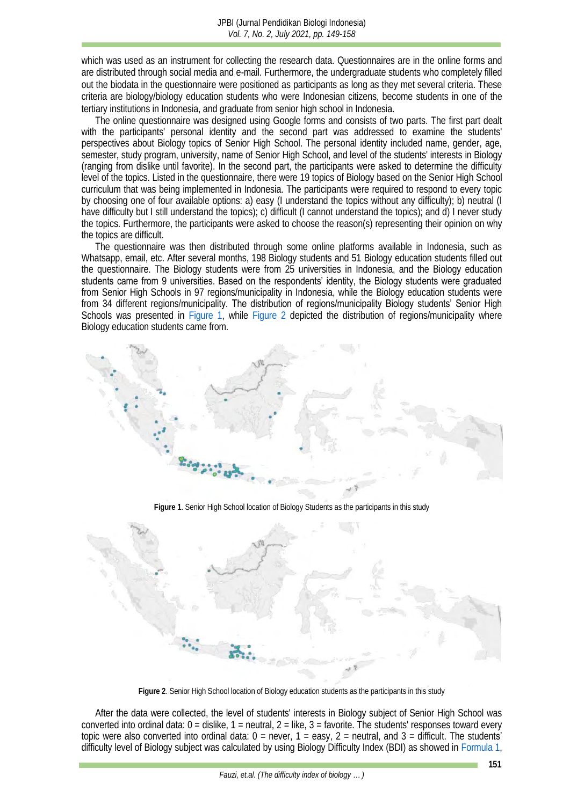which was used as an instrument for collecting the research data. Questionnaires are in the online forms and are distributed through social media and e-mail. Furthermore, the undergraduate students who completely filled out the biodata in the questionnaire were positioned as participants as long as they met several criteria. These criteria are biology/biology education students who were Indonesian citizens, become students in one of the tertiary institutions in Indonesia, and graduate from senior high school in Indonesia.

The online questionnaire was designed using Google forms and consists of two parts. The first part dealt with the participants' personal identity and the second part was addressed to examine the students' perspectives about Biology topics of Senior High School. The personal identity included name, gender, age, semester, study program, university, name of Senior High School, and level of the students' interests in Biology (ranging from dislike until favorite). In the second part, the participants were asked to determine the difficulty level of the topics. Listed in the questionnaire, there were 19 topics of Biology based on the Senior High School curriculum that was being implemented in Indonesia. The participants were required to respond to every topic by choosing one of four available options: a) easy (I understand the topics without any difficulty); b) neutral (I have difficulty but I still understand the topics); c) difficult (I cannot understand the topics); and d) I never study the topics. Furthermore, the participants were asked to choose the reason(s) representing their opinion on why the topics are difficult.

The questionnaire was then distributed through some online platforms available in Indonesia, such as Whatsapp, email, etc. After several months, 198 Biology students and 51 Biology education students filled out the questionnaire. The Biology students were from 25 universities in Indonesia, and the Biology education students came from 9 universities. Based on the respondents' identity, the Biology students were graduated from Senior High Schools in 97 regions/municipality in Indonesia, while the Biology education students were from 34 different regions/municipality. The distribution of regions/municipality Biology students' Senior High Schools was presented in [Figure 1,](#page-2-0) while [Figure 2](#page-2-1) depicted the distribution of regions/municipality where Biology education students came from.



**Figure 1**. Senior High School location of Biology Students as the participants in this study

<span id="page-2-0"></span>

**Figure 2**. Senior High School location of Biology education students as the participants in this study

<span id="page-2-1"></span>After the data were collected, the level of students' interests in Biology subject of Senior High School was converted into ordinal data:  $0 =$  dislike,  $1 =$  neutral,  $2 =$  like,  $3 =$  favorite. The students' responses toward every topic were also converted into ordinal data:  $0 =$  never,  $1 =$  easy,  $2 =$  neutral, and  $3 =$  difficult. The students' difficulty level of Biology subject was calculated by using Biology Difficulty Index (BDI) as showed i[n Formula 1,](#page-3-0)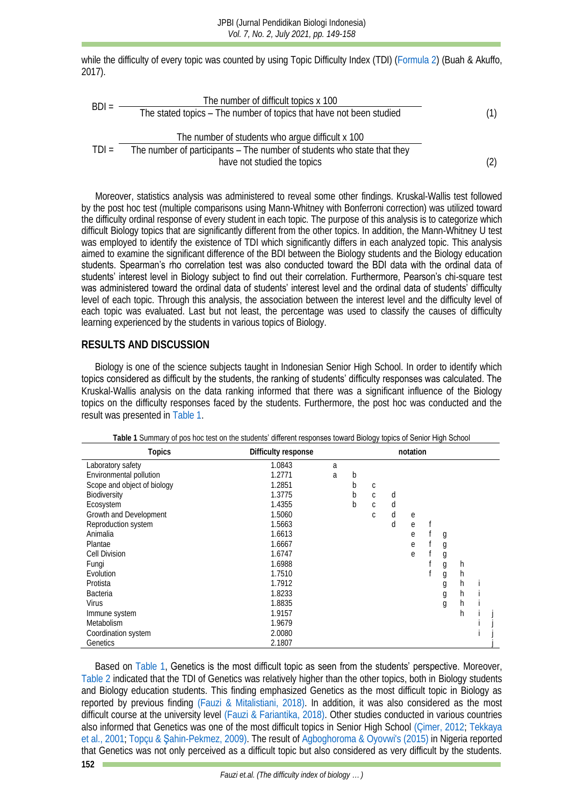while the difficulty of every topic was counted by using Topic Difficulty Index (TDI) [\(Formula 2\)](#page-3-1) (Buah & Akuffo, 2017).

<span id="page-3-1"></span><span id="page-3-0"></span>
$$
BDI = \frac{\text{The number of difficult topics} \times 100}{\text{The stated topics} - \text{The number of topics that have not been studied}} \tag{1}
$$
\n
$$
TDI = \frac{\text{The number of students who argue difficult} \times 100}{\text{The number of participants} - \text{The number of students who state that they have not studied the topics}} \tag{2}
$$

Moreover, statistics analysis was administered to reveal some other findings. Kruskal-Wallis test followed by the post hoc test (multiple comparisons using Mann-Whitney with Bonferroni correction) was utilized toward the difficulty ordinal response of every student in each topic. The purpose of this analysis is to categorize which difficult Biology topics that are significantly different from the other topics. In addition, the Mann-Whitney U test was employed to identify the existence of TDI which significantly differs in each analyzed topic. This analysis aimed to examine the significant difference of the BDI between the Biology students and the Biology education students. Spearman's rho correlation test was also conducted toward the BDI data with the ordinal data of students' interest level in Biology subject to find out their correlation. Furthermore, Pearson's chi-square test was administered toward the ordinal data of students' interest level and the ordinal data of students' difficulty level of each topic. Through this analysis, the association between the interest level and the difficulty level of each topic was evaluated. Last but not least, the percentage was used to classify the causes of difficulty learning experienced by the students in various topics of Biology.

## **RESULTS AND DISCUSSION**

Biology is one of the science subjects taught in Indonesian Senior High School. In order to identify which topics considered as difficult by the students, the ranking of students' difficulty responses was calculated. The Kruskal-Wallis analysis on the data ranking informed that there was a significant influence of the Biology topics on the difficulty responses faced by the students. Furthermore, the post hoc was conducted and the result was presented in [Table 1.](#page-3-2)

<span id="page-3-2"></span>

| Topics<br>Difficulty response |        |   | notation |   |   |   |  |   |   |  |  |
|-------------------------------|--------|---|----------|---|---|---|--|---|---|--|--|
| Laboratory safety             | 1.0843 | a |          |   |   |   |  |   |   |  |  |
| Environmental pollution       | 1.2771 | a | b        |   |   |   |  |   |   |  |  |
| Scope and object of biology   | 1.2851 |   | b        | C |   |   |  |   |   |  |  |
| Biodiversity                  | 1.3775 |   | b        | Ċ | d |   |  |   |   |  |  |
| Ecosystem                     | 1.4355 |   | b        | C | d |   |  |   |   |  |  |
| Growth and Development        | 1.5060 |   |          | C | d | e |  |   |   |  |  |
| Reproduction system           | 1.5663 |   |          |   | d | e |  |   |   |  |  |
| Animalia                      | 1.6613 |   |          |   |   | e |  | g |   |  |  |
| Plantae                       | 1.6667 |   |          |   |   | е |  | g |   |  |  |
| Cell Division                 | 1.6747 |   |          |   |   | e |  | g |   |  |  |
| Fungi                         | 1.6988 |   |          |   |   |   |  | g | h |  |  |
| <b>Evolution</b>              | 1.7510 |   |          |   |   |   |  | g | h |  |  |
| Protista                      | 1.7912 |   |          |   |   |   |  | g | h |  |  |
| <b>Bacteria</b>               | 1.8233 |   |          |   |   |   |  | g | h |  |  |
| <b>Virus</b>                  | 1.8835 |   |          |   |   |   |  | g | h |  |  |
| Immune system                 | 1.9157 |   |          |   |   |   |  |   | h |  |  |
| <b>Metabolism</b>             | 1.9679 |   |          |   |   |   |  |   |   |  |  |
| Coordination system           | 2.0080 |   |          |   |   |   |  |   |   |  |  |
| Genetics                      | 2.1807 |   |          |   |   |   |  |   |   |  |  |

| Table 1 Summary of pos hoc test on the students' different responses toward Biology topics of Senior High School |
|------------------------------------------------------------------------------------------------------------------|
|                                                                                                                  |

152 **L** Based on [Table 1,](#page-3-2) Genetics is the most difficult topic as seen from the students' perspective. Moreover, [Table 2](#page-4-0) indicated that the TDI of Genetics was relatively higher than the other topics, both in Biology students and Biology education students. This finding emphasized Genetics as the most difficult topic in Biology as reported by previous finding [\(Fauzi & Mitalistiani, 2018\).](#page-7-8) In addition, it was also considered as the most difficult course at the university level [\(Fauzi & Fariantika, 2018\).](#page-7-9) Other studies conducted in various countries also informed that Genetics was one of the most difficult topics in Senior High School [\(Çimer, 2012;](#page-7-4) [Tekkaya](#page-9-1)  [et al., 2001;](#page-9-1) Topçu & Ş[ahin-Pekmez, 2009\).](#page-9-5) The result o[f Agboghoroma & Oyovwi's \(2015\)](#page-7-10) in Nigeria reported that Genetics was not only perceived as a difficult topic but also considered as very difficult by the students.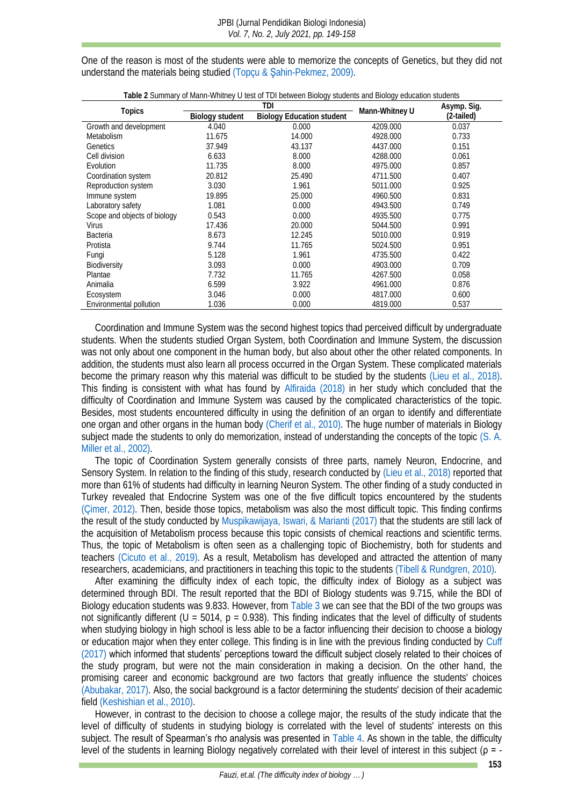One of the reason is most of the students were able to memorize the concepts of Genetics, but they did not understand the materials being studied (Topçu & Ş[ahin-Pekmez, 2009\).](#page-9-5)

<span id="page-4-0"></span>

|                              |                 | Table 2 Juminary or manifeviningly of lost or TDI between Diology students and Diology cudeation students<br>TDI |                | Asymp. Sig. |  |
|------------------------------|-----------------|------------------------------------------------------------------------------------------------------------------|----------------|-------------|--|
| Topics                       | Biology student | <b>Biology Education student</b>                                                                                 | Mann-Whitney U | (2-tailed)  |  |
| Growth and development       | 4.040           | 0.000                                                                                                            | 4209.000       | 0.037       |  |
| <b>Metabolism</b>            | 11.675          | 14.000                                                                                                           | 4928.000       | 0.733       |  |
| Genetics                     | 37.949          | 43.137                                                                                                           | 4437.000       | 0.151       |  |
| Cell division                | 6.633           | 8.000                                                                                                            | 4288.000       | 0.061       |  |
| Evolution                    | 11.735          | 8.000                                                                                                            | 4975.000       | 0.857       |  |
| Coordination system          | 20.812          | 25.490                                                                                                           | 4711.500       | 0.407       |  |
| Reproduction system          | 3.030           | 1.961                                                                                                            | 5011.000       | 0.925       |  |
| Immune system                | 19.895          | 25.000                                                                                                           | 4960.500       | 0.831       |  |
| Laboratory safety            | 1.081           | 0.000                                                                                                            | 4943.500       | 0.749       |  |
| Scope and objects of biology | 0.543           | 0.000                                                                                                            | 4935.500       | 0.775       |  |
| <b>Virus</b>                 | 17.436          | 20.000                                                                                                           | 5044.500       | 0.991       |  |
| <b>Bacteria</b>              | 8.673           | 12.245                                                                                                           | 5010.000       | 0.919       |  |
| Protista                     | 9.744           | 11.765                                                                                                           | 5024.500       | 0.951       |  |
| Fungi                        | 5.128           | 1.961                                                                                                            | 4735.500       | 0.422       |  |
| <b>Biodiversity</b>          | 3.093           | 0.000                                                                                                            | 4903.000       | 0.709       |  |
| Plantae                      | 7.732           | 11.765                                                                                                           | 4267.500       | 0.058       |  |
| Animalia                     | 6.599           | 3.922                                                                                                            | 4961.000       | 0.876       |  |
| Ecosystem                    | 3.046           | 0.000                                                                                                            | 4817.000       | 0.600       |  |
| Environmental pollution      | 1.036           | 0.000                                                                                                            | 4819.000       | 0.537       |  |

**Table 2** Summary of Mann-Whitney U test of TDI between Biology students and Biology education students

Coordination and Immune System was the second highest topics thad perceived difficult by undergraduate students. When the students studied Organ System, both Coordination and Immune System, the discussion was not only about one component in the human body, but also about other the other related components. In addition, the students must also learn all process occurred in the Organ System. These complicated materials become the primary reason why this material was difficult to be studied by the students [\(Lieu et al., 2018\).](#page-8-6) This finding is consistent with what has found by [Alfiraida \(2018\)](#page-7-7) in her study which concluded that the difficulty of Coordination and Immune System was caused by the complicated characteristics of the topic. Besides, most students encountered difficulty in using the definition of an organ to identify and differentiate one organ and other organs in the human body [\(Cherif et al., 2010\).](#page-7-11) The huge number of materials in Biology subject made the students to only do memorization, instead of understanding the concepts of the topic [\(S. A.](#page-8-7)  Miller et al., 2002).

The topic of Coordination System generally consists of three parts, namely Neuron, Endocrine, and Sensory System. In relation to the finding of this study, research conducted by [\(Lieu et al., 2018\)](#page-8-6) reported that more than 61% of students had difficulty in learning Neuron System. The other finding of a study conducted in Turkey revealed that Endocrine System was one of the five difficult topics encountered by the students [\(Çimer, 2012\).](#page-7-4) Then, beside those topics, metabolism was also the most difficult topic. This finding confirms the result of the study conducted b[y Muspikawijaya, Iswari, & Marianti \(2017\)](#page-8-8) that the students are still lack of the acquisition of Metabolism process because this topic consists of chemical reactions and scientific terms. Thus, the topic of Metabolism is often seen as a challenging topic of Biochemistry, both for students and teachers [\(Cicuto et al., 2019\).](#page-7-12) As a result, Metabolism has developed and attracted the attention of many researchers, academicians, and practitioners in teaching this topic to the students [\(Tibell & Rundgren, 2010\).](#page-9-6)

After examining the difficulty index of each topic, the difficulty index of Biology as a subject was determined through BDI. The result reported that the BDI of Biology students was 9.715, while the BDI of Biology education students was 9.833. However, from [Table 3](#page-5-0) we can see that the BDI of the two groups was not significantly different ( $U = 5014$ ,  $p = 0.938$ ). This finding indicates that the level of difficulty of students when studying biology in high school is less able to be a factor influencing their decision to choose a biology or education major when they enter college. This finding is in line with the previous finding conducted by [Cuff](#page-7-13)  (2017) which informed that students' perceptions toward the difficult subject closely related to their choices of the study program, but were not the main consideration in making a decision. On the other hand, the promising career and economic background are two factors that greatly influence the students' choices [\(Abubakar, 2017\).](#page-7-14) Also, the social background is a factor determining the students' decision of their academic field [\(Keshishian et al., 2010\).](#page-8-9)

However, in contrast to the decision to choose a college major, the results of the study indicate that the level of difficulty of students in studying biology is correlated with the level of students' interests on this subject. The result of Spearman's rho analysis was presented in [Table 4.](#page-5-1) As shown in the table, the difficulty level of the students in learning Biology negatively correlated with their level of interest in this subject (ρ = -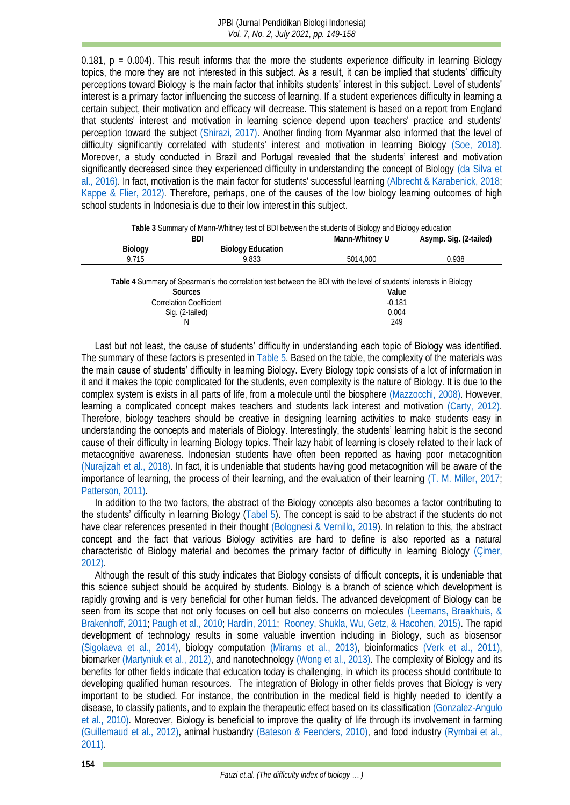$0.181$ ,  $p = 0.004$ ). This result informs that the more the students experience difficulty in learning Biology topics, the more they are not interested in this subject. As a result, it can be implied that students' difficulty perceptions toward Biology is the main factor that inhibits students' interest in this subject. Level of students' interest is a primary factor influencing the success of learning. If a student experiences difficulty in learning a certain subject, their motivation and efficacy will decrease. This statement is based on a report from England that students' interest and motivation in learning science depend upon teachers' practice and students' perception toward the subject [\(Shirazi, 2017\).](#page-9-2) Another finding from Myanmar also informed that the level of difficulty significantly correlated with students' interest and motivation in learning Biology [\(Soe, 2018\).](#page-9-7) Moreover, a study conducted in Brazil and Portugal revealed that the students' interest and motivation significantly decreased since they experienced difficulty in understanding the concept of Biology [\(da Silva et](#page-7-15)  al., 2016). In fact, motivation is the main factor for students' successful learning [\(Albrecht & Karabenick, 2018;](#page-7-16) [Kappe & Flier, 2012\).](#page-8-10) Therefore, perhaps, one of the causes of the low biology learning outcomes of high school students in Indonesia is due to their low interest in this subject.

<span id="page-5-1"></span><span id="page-5-0"></span>

|                         | BDI                                                                                                                 | Mann-Whitney U | Asymp. Sig. (2-tailed) |
|-------------------------|---------------------------------------------------------------------------------------------------------------------|----------------|------------------------|
| Biology                 | <b>Biology Education</b>                                                                                            |                |                        |
| 9.715                   | 9.833                                                                                                               | 5014.000       | 0.938                  |
|                         | Table 4 Summary of Spearman's rho correlation test between the BDI with the level of students' interests in Biology |                |                        |
| Sources                 |                                                                                                                     | Value          |                        |
| Correlation Coefficient |                                                                                                                     | $-0.181$       |                        |
| Sig. (2-tailed)         |                                                                                                                     | 0.004          |                        |
|                         |                                                                                                                     | 249            |                        |

**Table 3** Summary of Mann-Whitney test of BDI between the students of Biology and Biology education

Last but not least, the cause of students' difficulty in understanding each topic of Biology was identified. The summary of these factors is presented i[n Table 5.](#page-6-0) Based on the table, the complexity of the materials was the main cause of students' difficulty in learning Biology. Every Biology topic consists of a lot of information in it and it makes the topic complicated for the students, even complexity is the nature of Biology. It is due to the complex system is exists in all parts of life, from a molecule until the biosphere [\(Mazzocchi, 2008\).](#page-8-11) However, learning a complicated concept makes teachers and students lack interest and motivation [\(Carty, 2012\).](#page-7-17) Therefore, biology teachers should be creative in designing learning activities to make students easy in understanding the concepts and materials of Biology. Interestingly, the students' learning habit is the second cause of their difficulty in learning Biology topics. Their lazy habit of learning is closely related to their lack of metacognitive awareness. Indonesian students have often been reported as having poor metacognition [\(Nurajizah et al., 2018\).](#page-8-12) In fact, it is undeniable that students having good metacognition will be aware of the importance of learning, the process of their learning, and the evaluation of their learning [\(T. M. Miller, 2017;](#page-8-13) [Patterson, 2011\).](#page-8-14)

In addition to the two factors, the abstract of the Biology concepts also becomes a factor contributing to the students' difficulty in learning Biology [\(Tabel 5\)](#page-6-0). The concept is said to be abstract if the students do not have clear references presented in their thought [\(Bolognesi & Vernillo, 2019\)](#page-7-18). In relation to this, the abstract concept and the fact that various Biology activities are hard to define is also reported as a natural characteristic of Biology material and becomes the primary factor of difficulty in learning Biology [\(Çimer,](#page-7-4)  2012).

Although the result of this study indicates that Biology consists of difficult concepts, it is undeniable that this science subject should be acquired by students. Biology is a branch of science which development is rapidly growing and is very beneficial for other human fields. The advanced development of Biology can be seen from its scope that not only focuses on cell but also concerns on molecules (Leemans, Braakhuis, & [Brakenhoff, 2011;](#page-8-15) [Paugh et al., 2010;](#page-8-16) [Hardin, 2011;](#page-8-17) [Rooney, Shukla, Wu, Getz, & Hacohen, 2015\).](#page-9-8) The rapid development of technology results in some valuable invention including in Biology, such as biosensor [\(Sigolaeva et al., 2014\),](#page-9-9) biology computation [\(Mirams et al., 2013\),](#page-8-18) bioinformatics [\(Verk et al., 2011\),](#page-9-10) biomarker [\(Martyniuk et al., 2012\),](#page-8-19) and nanotechnolog[y \(Wong et al., 2013\).](#page-9-11) The complexity of Biology and its benefits for other fields indicate that education today is challenging, in which its process should contribute to developing qualified human resources. The integration of Biology in other fields proves that Biology is very important to be studied. For instance, the contribution in the medical field is highly needed to identify a disease, to classify patients, and to explain the therapeutic effect based on its classification [\(Gonzalez-Angulo](#page-7-19)  et al., 2010). Moreover, Biology is beneficial to improve the quality of life through its involvement in farming [\(Guillemaud et al., 2012\),](#page-7-20) animal husbandry [\(Bateson & Feenders, 2010\),](#page-7-21) and food industry [\(Rymbai et al.,](#page-9-12)  2011).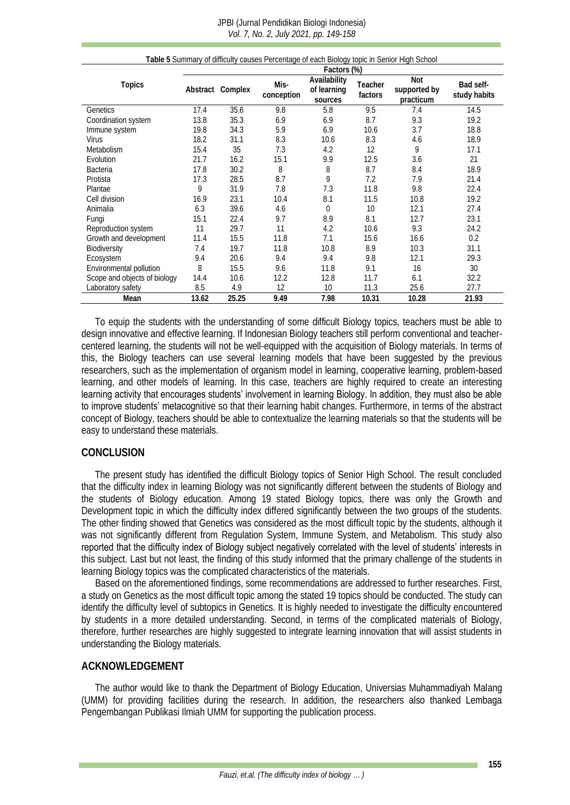#### JPBI (Jurnal Pendidikan Biologi Indonesia) *Vol. 7, No. 2, July 2021, pp. 149-158*

<span id="page-6-0"></span>

| Table 5 Summary of difficulty causes Percentage of each Biology topic in Senior High School |             |                  |                    |                                        |                    |                                  |                           |
|---------------------------------------------------------------------------------------------|-------------|------------------|--------------------|----------------------------------------|--------------------|----------------------------------|---------------------------|
|                                                                                             | Factors (%) |                  |                    |                                        |                    |                                  |                           |
| Topics                                                                                      |             | Abstract Complex | Mis-<br>conception | Availability<br>of learning<br>sources | Teacher<br>factors | Not<br>supported by<br>practicum | Bad self-<br>study habits |
| Genetics                                                                                    | 17.4        | 35.6             | 9.8                | 5.8                                    | 9.5                | 7.4                              | 14.5                      |
| Coordination system                                                                         | 13.8        | 35.3             | 6.9                | 6.9                                    | 8.7                | 9.3                              | 19.2                      |
| Immune system                                                                               | 19.8        | 34.3             | 5.9                | 6.9                                    | 10.6               | 3.7                              | 18.8                      |
| <b>Virus</b>                                                                                | 18.2        | 31.1             | 8.3                | 10.6                                   | 8.3                | 4.6                              | 18.9                      |
| Metabolism                                                                                  | 15.4        | 35               | 7.3                | 4.2                                    | 12                 | 9                                | 17.1                      |
| Evolution                                                                                   | 21.7        | 16.2             | 15.1               | 9.9                                    | 12.5               | 3.6                              | 21                        |
| <b>Bacteria</b>                                                                             | 17.8        | 30.2             | 8                  | 8                                      | 8.7                | 8.4                              | 18.9                      |
| Protista                                                                                    | 17.3        | 28.5             | 8.7                | 9                                      | 7.2                | 7.9                              | 21.4                      |
| Plantae                                                                                     | 9           | 31.9             | 7.8                | 7.3                                    | 11.8               | 9.8                              | 22.4                      |
| Cell division                                                                               | 16.9        | 23.1             | 10.4               | 8.1                                    | 11.5               | 10.8                             | 19.2                      |
| Animalia                                                                                    | 6.3         | 39.6             | 4.6                | $\Omega$                               | 10                 | 12.1                             | 27.4                      |
| Fungi                                                                                       | 15.1        | 22.4             | 9.7                | 8.9                                    | 8.1                | 12.7                             | 23.1                      |
| Reproduction system                                                                         | 11          | 29.7             | 11                 | 4.2                                    | 10.6               | 9.3                              | 24.2                      |
| Growth and development                                                                      | 11.4        | 15.5             | 11.8               | 7.1                                    | 15.6               | 16.6                             | 0.2                       |
| <b>Biodiversity</b>                                                                         | 7.4         | 19.7             | 11.8               | 10.8                                   | 8.9                | 10.3                             | 31.1                      |
| Ecosystem                                                                                   | 9.4         | 20.6             | 9.4                | 9.4                                    | 9.8                | 12.1                             | 29.3                      |
| Environmental pollution                                                                     | 8           | 15.5             | 9.6                | 11.8                                   | 9.1                | 16                               | 30                        |
| Scope and objects of biology                                                                | 14.4        | 10.6             | 12.2               | 12.8                                   | 11.7               | 6.1                              | 32.2                      |
| Laboratory safety                                                                           | 8.5         | 4.9              | 12                 | 10                                     | 11.3               | 25.6                             | 27.7                      |
| Mean                                                                                        | 13.62       | 25.25            | 9.49               | 7.98                                   | 10.31              | 10.28                            | 21.93                     |

To equip the students with the understanding of some difficult Biology topics, teachers must be able to design innovative and effective learning. If Indonesian Biology teachers still perform conventional and teachercentered learning, the students will not be well-equipped with the acquisition of Biology materials. In terms of this, the Biology teachers can use several learning models that have been suggested by the previous researchers, such as the implementation of organism model in learning, cooperative learning, problem-based learning, and other models of learning. In this case, teachers are highly required to create an interesting learning activity that encourages students' involvement in learning Biology. In addition, they must also be able to improve students' metacognitive so that their learning habit changes. Furthermore, in terms of the abstract concept of Biology, teachers should be able to contextualize the learning materials so that the students will be easy to understand these materials.

# **CONCLUSION**

The present study has identified the difficult Biology topics of Senior High School. The result concluded that the difficulty index in learning Biology was not significantly different between the students of Biology and the students of Biology education. Among 19 stated Biology topics, there was only the Growth and Development topic in which the difficulty index differed significantly between the two groups of the students. The other finding showed that Genetics was considered as the most difficult topic by the students, although it was not significantly different from Regulation System, Immune System, and Metabolism. This study also reported that the difficulty index of Biology subject negatively correlated with the level of students' interests in this subject. Last but not least, the finding of this study informed that the primary challenge of the students in learning Biology topics was the complicated characteristics of the materials.

Based on the aforementioned findings, some recommendations are addressed to further researches. First, a study on Genetics as the most difficult topic among the stated 19 topics should be conducted. The study can identify the difficulty level of subtopics in Genetics. It is highly needed to investigate the difficulty encountered by students in a more detailed understanding. Second, in terms of the complicated materials of Biology, therefore, further researches are highly suggested to integrate learning innovation that will assist students in understanding the Biology materials.

#### **ACKNOWLEDGEMENT**

The author would like to thank the Department of Biology Education, Universias Muhammadiyah Malang (UMM) for providing facilities during the research. In addition, the researchers also thanked Lembaga Pengembangan Publikasi Ilmiah UMM for supporting the publication process.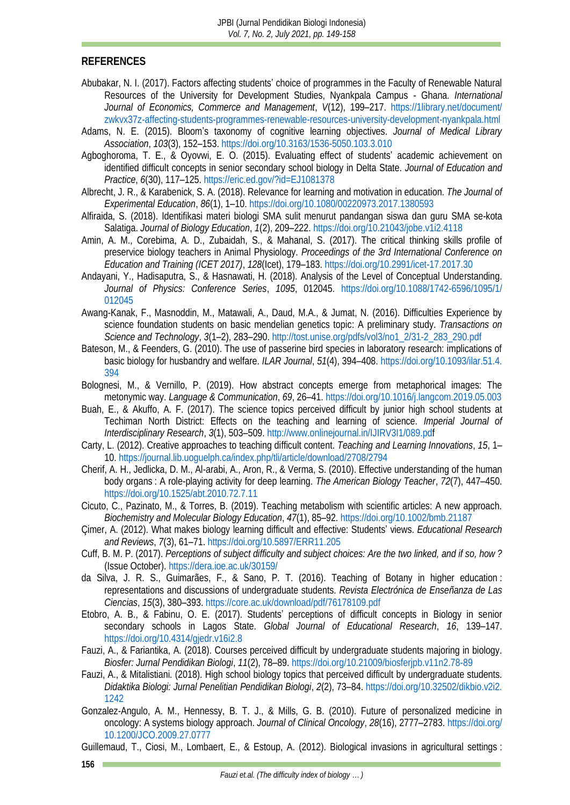#### **REFERENCES**

- <span id="page-7-14"></span>Abubakar, N. I. (2017). Factors affecting students' choice of programmes in the Faculty of Renewable Natural Resources of the University for Development Studies, Nyankpala Campus - Ghana. *International Journal of Economics, Commerce and Management*, *V*(12), 199–217. [https://1library.net/document/](https://1library.net/document/zwkvx37z-affecting-students-programmes-renewable-resources-university-development-nyankpala.html) [zwkvx37z-affecting-students-programmes-renewable-resources-university-development-nyankpala.html](https://1library.net/document/zwkvx37z-affecting-students-programmes-renewable-resources-university-development-nyankpala.html)
- <span id="page-7-1"></span>Adams, N. E. (2015). Bloom's taxonomy of cognitive learning objectives. *Journal of Medical Library Association*, *103*(3), 152–153[. https://doi.org/10.3163/1536-5050.103.3.010](https://doi.org/10.3163/1536-5050.103.3.010)
- <span id="page-7-10"></span>Agboghoroma, T. E., & Oyovwi, E. O. (2015). Evaluating effect of students' academic achievement on identified difficult concepts in senior secondary school biology in Delta State. *Journal of Education and Practice*, *6*(30), 117–125. <https://eric.ed.gov/?id=EJ1081378>
- <span id="page-7-16"></span>Albrecht, J. R., & Karabenick, S. A. (2018). Relevance for learning and motivation in education. *The Journal of Experimental Education*, *86*(1), 1–10[. https://doi.org/10.1080/00220973.2017.1380593](https://doi.org/10.1080/00220973.2017.1380593)
- <span id="page-7-7"></span>Alfiraida, S. (2018). Identifikasi materi biologi SMA sulit menurut pandangan siswa dan guru SMA se-kota Salatiga. *Journal of Biology Education*, *1*(2), 209–222.<https://doi.org/10.21043/jobe.v1i2.4118>
- <span id="page-7-0"></span>Amin, A. M., Corebima, A. D., Zubaidah, S., & Mahanal, S. (2017). The critical thinking skills profile of preservice biology teachers in Animal Physiology. *Proceedings of the 3rd International Conference on Education and Training (ICET 2017)*, *128*(Icet), 179–183.<https://doi.org/10.2991/icet-17.2017.30>
- <span id="page-7-2"></span>Andayani, Y., Hadisaputra, S., & Hasnawati, H. (2018). Analysis of the Level of Conceptual Understanding. *Journal of Physics: Conference Series*, *1095*, 012045. [https://doi.org/10.1088/1742-6596/1095/1/](https://doi.org/10.1088/1742-6596/1095/1/012045) [012045](https://doi.org/10.1088/1742-6596/1095/1/012045)
- <span id="page-7-6"></span>Awang-Kanak, F., Masnoddin, M., Matawali, A., Daud, M.A., & Jumat, N. (2016). Difficulties Experience by science foundation students on basic mendelian genetics topic: A preliminary study. *Transactions on Science and Technology*, *3*(1–2), 283–290. [http://tost.unise.org/pdfs/vol3/no1\\_2/31-2\\_283\\_290.pdf](http://tost.unise.org/pdfs/vol3/no1_2/31-2_283_290.pdf)
- <span id="page-7-21"></span>Bateson, M., & Feenders, G. (2010). The use of passerine bird species in laboratory research: implications of basic biology for husbandry and welfare. *ILAR Journal*, *51*(4), 394–408[. https://doi.org/10.1093/ilar.51.4.](https://doi.org/10.1093/ilar.51.4.394) [394](https://doi.org/10.1093/ilar.51.4.394)
- <span id="page-7-18"></span>Bolognesi, M., & Vernillo, P. (2019). How abstract concepts emerge from metaphorical images: The metonymic way. *Language & Communication*, *69*, 26–41.<https://doi.org/10.1016/j.langcom.2019.05.003>
- <span id="page-7-3"></span>Buah, E., & Akuffo, A. F. (2017). The science topics perceived difficult by junior high school students at Techiman North District: Effects on the teaching and learning of science. *Imperial Journal of Interdisciplinary Research*, *3*(1), 503–509. [http://www.onlinejournal.in/IJIRV3I1/089.pdf](http://www.onlinejournal.in/IJIRV3I1/089.pd)
- <span id="page-7-17"></span>Carty, L. (2012). Creative approaches to teaching difficult content. *Teaching and Learning Innovations*, *15*, 1– 10. <https://journal.lib.uoguelph.ca/index.php/tli/article/download/2708/2794>
- <span id="page-7-11"></span>Cherif, A. H., Jedlicka, D. M., Al-arabi, A., Aron, R., & Verma, S. (2010). Effective understanding of the human body organs : A role-playing activity for deep learning. *The American Biology Teacher*, *72*(7), 447–450. <https://doi.org/10.1525/abt.2010.72.7.11>
- <span id="page-7-12"></span>Cicuto, C., Pazinato, M., & Torres, B. (2019). Teaching metabolism with scientific articles: A new approach. *Biochemistry and Molecular Biology Education*, *47*(1), 85–92.<https://doi.org/10.1002/bmb.21187>
- <span id="page-7-4"></span>Çimer, A. (2012). What makes biology learning difficult and effective: Students' views. *Educational Research and Reviews*, *7*(3), 61–71.<https://doi.org/10.5897/ERR11.205>
- <span id="page-7-13"></span>Cuff, B. M. P. (2017). *Perceptions of subject difficulty and subject choices: Are the two linked, and if so, how ?* (Issue October). <https://dera.ioe.ac.uk/30159/>
- <span id="page-7-15"></span>da Silva, J. R. S., Guimarães, F., & Sano, P. T. (2016). Teaching of Botany in higher education : representations and discussions of undergraduate students. *Revista Electrónica de Enseñanza de Las Ciencias*, *15*(3), 380–393. <https://core.ac.uk/download/pdf/76178109.pdf>
- <span id="page-7-5"></span>Etobro, A. B., & Fabinu, O. E. (2017). Students' perceptions of difficult concepts in Biology in senior secondary schools in Lagos State. *Global Journal of Educational Research*, *16*, 139–147. <https://doi.org/10.4314/gjedr.v16i2.8>
- <span id="page-7-9"></span>Fauzi, A., & Fariantika, A. (2018). Courses perceived difficult by undergraduate students majoring in biology. *Biosfer: Jurnal Pendidikan Biologi*, *11*(2), 78–89[. https://doi.org/10.21009/biosferjpb.v11n2.78-89](https://doi.org/10.21009/biosferjpb.v11n2.78-89)
- <span id="page-7-8"></span>Fauzi, A., & Mitalistiani. (2018). High school biology topics that perceived difficult by undergraduate students. *Didaktika Biologi: Jurnal Penelitian Pendidikan Biologi*, *2*(2), 73–84. [https://doi.org/10.32502/dikbio.v2i2.](https://doi.org/10.32502/dikbio.v2i2.1242) [1242](https://doi.org/10.32502/dikbio.v2i2.1242)
- <span id="page-7-19"></span>Gonzalez-Angulo, A. M., Hennessy, B. T. J., & Mills, G. B. (2010). Future of personalized medicine in oncology: A systems biology approach. *Journal of Clinical Oncology*, *28*(16), 2777–2783. [https://doi.org/](https://doi.org/10.1200/JCO.2009.27.0777) [10.1200/JCO.2009.27.0777](https://doi.org/10.1200/JCO.2009.27.0777)
- <span id="page-7-20"></span>Guillemaud, T., Ciosi, M., Lombaert, E., & Estoup, A. (2012). Biological invasions in agricultural settings :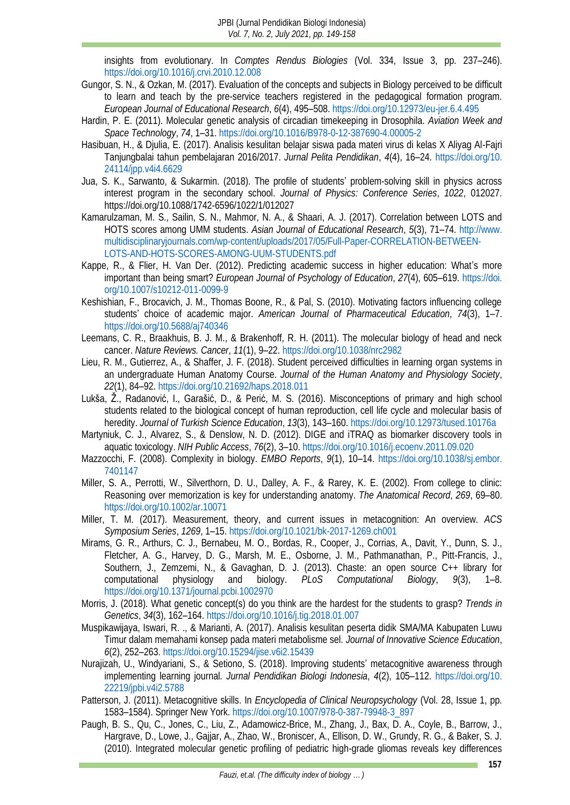insights from evolutionary. In *Comptes Rendus Biologies* (Vol. 334, Issue 3, pp. 237–246). <https://doi.org/10.1016/j.crvi.2010.12.008>

- <span id="page-8-5"></span>Gungor, S. N., & Ozkan, M. (2017). Evaluation of the concepts and subjects in Biology perceived to be difficult to learn and teach by the pre-service teachers registered in the pedagogical formation program. *European Journal of Educational Research*, *6*(4), 495–508[. https://doi.org/10.12973/eu-jer.6.4.495](https://doi.org/10.12973/eu-jer.6.4.495)
- <span id="page-8-17"></span>Hardin, P. E. (2011). Molecular genetic analysis of circadian timekeeping in Drosophila. *Aviation Week and Space Technology*, *74*, 1–31.<https://doi.org/10.1016/B978-0-12-387690-4.00005-2>
- <span id="page-8-4"></span>Hasibuan, H., & Djulia, E. (2017). Analisis kesulitan belajar siswa pada materi virus di kelas X Aliyag Al-Fajri Tanjungbalai tahun pembelajaran 2016/2017. *Jurnal Pelita Pendidikan*, *4*(4), 16–24. [https://doi.org/10.](https://doi.org/10.24114/jpp.v4i4.6629) [24114/jpp.v4i4.6629](https://doi.org/10.24114/jpp.v4i4.6629)
- <span id="page-8-0"></span>Jua, S. K., Sarwanto, & Sukarmin. (2018). The profile of students' problem-solving skill in physics across interest program in the secondary school. *Journal of Physics: Conference Series*, *1022*, 012027. https://doi.org/10.1088/1742-6596/1022/1/012027
- <span id="page-8-1"></span>Kamarulzaman, M. S., Sailin, S. N., Mahmor, N. A., & Shaari, A. J. (2017). Correlation between LOTS and HOTS scores among UMM students. *Asian Journal of Educational Research*, *5*(3), 71–74. [http://www.](http://www.multidisciplinaryjournals.com/wp-content/uploads/2017/05/Full-Paper-CORRELATION-BETWEEN-LOTS-AND-HOTS-SCORES-AMONG-UUM-STUDENTS.pdf) [multidisciplinaryjournals.com/wp-content/uploads/2017/05/Full-Paper-CORRELATION-BETWEEN-](http://www.multidisciplinaryjournals.com/wp-content/uploads/2017/05/Full-Paper-CORRELATION-BETWEEN-LOTS-AND-HOTS-SCORES-AMONG-UUM-STUDENTS.pdf)[LOTS-AND-HOTS-SCORES-AMONG-UUM-STUDENTS.pdf](http://www.multidisciplinaryjournals.com/wp-content/uploads/2017/05/Full-Paper-CORRELATION-BETWEEN-LOTS-AND-HOTS-SCORES-AMONG-UUM-STUDENTS.pdf)
- <span id="page-8-10"></span>Kappe, R., & Flier, H. Van Der. (2012). Predicting academic success in higher education: What's more important than being smart? *European Journal of Psychology of Education*, *27*(4), 605–619. [https://doi.](https://doi.org/10.1007/s10212-011-0099-9) [org/10.1007/s10212-011-0099-9](https://doi.org/10.1007/s10212-011-0099-9)
- <span id="page-8-9"></span>Keshishian, F., Brocavich, J. M., Thomas Boone, R., & Pal, S. (2010). Motivating factors influencing college students' choice of academic major. *American Journal of Pharmaceutical Education*, *74*(3), 1–7. <https://doi.org/10.5688/aj740346>
- <span id="page-8-15"></span>Leemans, C. R., Braakhuis, B. J. M., & Brakenhoff, R. H. (2011). The molecular biology of head and neck cancer. *Nature Reviews. Cancer*, *11*(1), 9–22.<https://doi.org/10.1038/nrc2982>
- <span id="page-8-6"></span>Lieu, R. M., Gutierrez, A., & Shaffer, J. F. (2018). Student perceived difficulties in learning organ systems in an undergraduate Human Anatomy Course. *Journal of the Human Anatomy and Physiology Society*, *22*(1), 84–92.<https://doi.org/10.21692/haps.2018.011>
- <span id="page-8-3"></span>Lukša, Ž., Radanović, I., Garašić, D., & Perić, M. S. (2016). Misconceptions of primary and high school students related to the biological concept of human reproduction, cell life cycle and molecular basis of heredity. *Journal of Turkish Science Education*, *13*(3), 143–160.<https://doi.org/10.12973/tused.10176a>
- <span id="page-8-19"></span>Martyniuk, C. J., Alvarez, S., & Denslow, N. D. (2012). DIGE and iTRAQ as biomarker discovery tools in aquatic toxicology. *NIH Public Access*, *76*(2), 3–10.<https://doi.org/10.1016/j.ecoenv.2011.09.020>
- <span id="page-8-11"></span>Mazzocchi, F. (2008). Complexity in biology. *EMBO Reports*, *9*(1), 10–14. [https://doi.org/10.1038/sj.embor.](https://doi.org/10.1038/sj.embor.7401147) [7401147](https://doi.org/10.1038/sj.embor.7401147)
- <span id="page-8-7"></span>Miller, S. A., Perrotti, W., Silverthorn, D. U., Dalley, A. F., & Rarey, K. E. (2002). From college to clinic: Reasoning over memorization is key for understanding anatomy. *The Anatomical Record*, *269*, 69–80. <https://doi.org/10.1002/ar.10071>
- <span id="page-8-13"></span>Miller, T. M. (2017). Measurement, theory, and current issues in metacognition: An overview. *ACS Symposium Series*, *1269*, 1–15[. https://doi.org/10.1021/bk-2017-1269.ch001](https://doi.org/10.1021/bk-2017-1269.ch001)
- <span id="page-8-18"></span>Mirams, G. R., Arthurs, C. J., Bernabeu, M. O., Bordas, R., Cooper, J., Corrias, A., Davit, Y., Dunn, S. J., Fletcher, A. G., Harvey, D. G., Marsh, M. E., Osborne, J. M., Pathmanathan, P., Pitt-Francis, J., Southern, J., Zemzemi, N., & Gavaghan, D. J. (2013). Chaste: an open source C++ library for computational physiology and biology. *PLoS Computational Biology*, *9*(3), 1–8. <https://doi.org/10.1371/journal.pcbi.1002970>
- <span id="page-8-2"></span>Morris, J. (2018). What genetic concept(s) do you think are the hardest for the students to grasp? *Trends in Genetics*, *34*(3), 162–164.<https://doi.org/10.1016/j.tig.2018.01.007>
- <span id="page-8-8"></span>Muspikawijaya, Iswari, R. ., & Marianti, A. (2017). Analisis kesulitan peserta didik SMA/MA Kabupaten Luwu Timur dalam memahami konsep pada materi metabolisme sel. *Journal of Innovative Science Education*, *6*(2), 252–263.<https://doi.org/10.15294/jise.v6i2.15439>
- <span id="page-8-12"></span>Nurajizah, U., Windyariani, S., & Setiono, S. (2018). Improving students' metacognitive awareness through implementing learning journal. *Jurnal Pendidikan Biologi Indonesia*, *4*(2), 105–112. [https://doi.org/10.](https://doi.org/10.22219/jpbi.v4i2.5788) [22219/jpbi.v4i2.5788](https://doi.org/10.22219/jpbi.v4i2.5788)
- <span id="page-8-14"></span>Patterson, J. (2011). Metacognitive skills. In *Encyclopedia of Clinical Neuropsychology* (Vol. 28, Issue 1, pp. 1583–1584). Springer New York. [https://doi.org/10.1007/978-0-387-79948-3\\_897](https://doi.org/10.1007/978-0-387-79948-3_897)
- <span id="page-8-16"></span>Paugh, B. S., Qu, C., Jones, C., Liu, Z., Adamowicz-Brice, M., Zhang, J., Bax, D. A., Coyle, B., Barrow, J., Hargrave, D., Lowe, J., Gajjar, A., Zhao, W., Broniscer, A., Ellison, D. W., Grundy, R. G., & Baker, S. J. (2010). Integrated molecular genetic profiling of pediatric high-grade gliomas reveals key differences